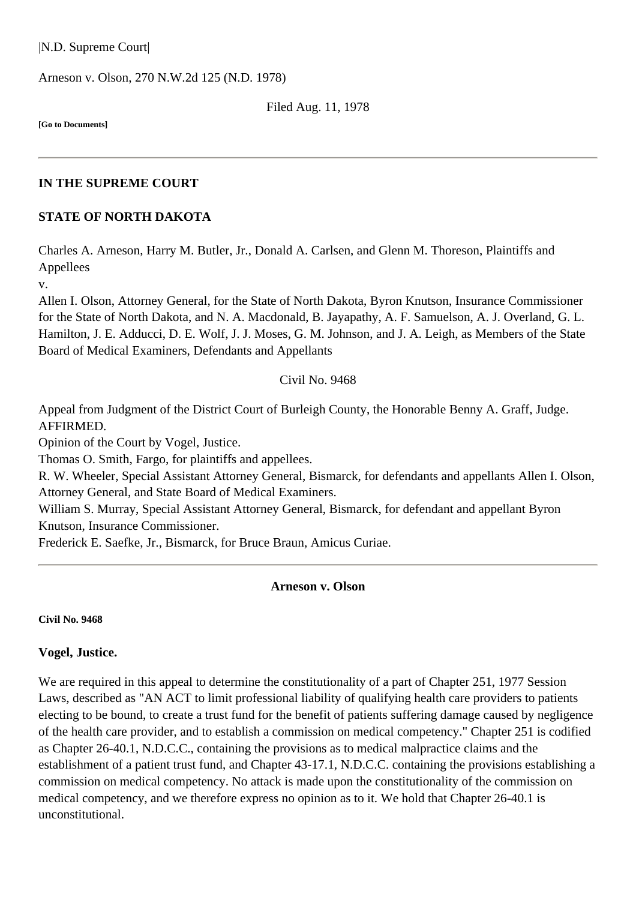|N.D. Supreme Court|

Arneson v. Olson, [270 N.W.2d 125](http://www.ndcourts.gov/supreme-court/opinion/270NW2d125) (N.D. 1978)

Filed Aug. 11, 1978

**[Go to Documents]**

#### **IN THE SUPREME COURT**

#### **STATE OF NORTH DAKOTA**

Charles A. Arneson, Harry M. Butler, Jr., Donald A. Carlsen, and Glenn M. Thoreson, Plaintiffs and Appellees

v.

Allen I. Olson, Attorney General, for the State of North Dakota, Byron Knutson, Insurance Commissioner for the State of North Dakota, and N. A. Macdonald, B. Jayapathy, A. F. Samuelson, A. J. Overland, G. L. Hamilton, J. E. Adducci, D. E. Wolf, J. J. Moses, G. M. Johnson, and J. A. Leigh, as Members of the State Board of Medical Examiners, Defendants and Appellants

#### Civil No. 9468

Appeal from Judgment of the District Court of Burleigh County, the Honorable Benny A. Graff, Judge. AFFIRMED.

Opinion of the Court by Vogel, Justice.

Thomas O. Smith, Fargo, for plaintiffs and appellees.

R. W. Wheeler, Special Assistant Attorney General, Bismarck, for defendants and appellants Allen I. Olson, Attorney General, and State Board of Medical Examiners.

William S. Murray, Special Assistant Attorney General, Bismarck, for defendant and appellant Byron Knutson, Insurance Commissioner.

Frederick E. Saefke, Jr., Bismarck, for Bruce Braun, Amicus Curiae.

#### **Arneson v. Olson**

**Civil No. 9468**

#### **Vogel, Justice.**

We are required in this appeal to determine the constitutionality of a part of Chapter 251, 1977 Session Laws, described as "AN ACT to limit professional liability of qualifying health care providers to patients electing to be bound, to create a trust fund for the benefit of patients suffering damage caused by negligence of the health care provider, and to establish a commission on medical competency." Chapter 251 is codified as Chapter 26-40.1, N.D.C.C., containing the provisions as to medical malpractice claims and the establishment of a patient trust fund, and Chapter 43-17.1, N.D.C.C. containing the provisions establishing a commission on medical competency. No attack is made upon the constitutionality of the commission on medical competency, and we therefore express no opinion as to it. We hold that Chapter 26-40.1 is unconstitutional.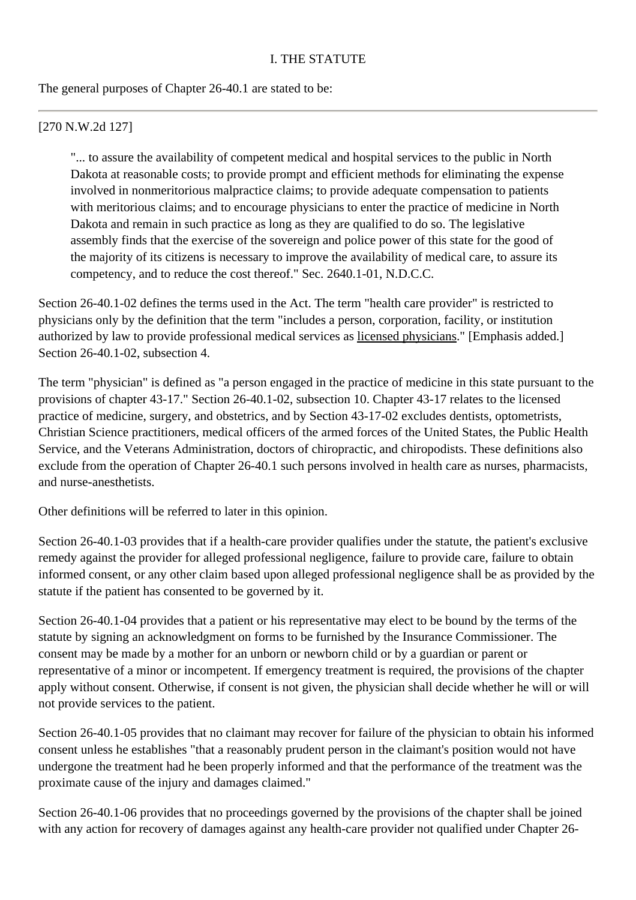The general purposes of Chapter 26-40.1 are stated to be:

### [270 N.W.2d 127]

"... to assure the availability of competent medical and hospital services to the public in North Dakota at reasonable costs; to provide prompt and efficient methods for eliminating the expense involved in nonmeritorious malpractice claims; to provide adequate compensation to patients with meritorious claims; and to encourage physicians to enter the practice of medicine in North Dakota and remain in such practice as long as they are qualified to do so. The legislative assembly finds that the exercise of the sovereign and police power of this state for the good of the majority of its citizens is necessary to improve the availability of medical care, to assure its competency, and to reduce the cost thereof." Sec. 2640.1-01, N.D.C.C.

Section 26-40.1-02 defines the terms used in the Act. The term "health care provider" is restricted to physicians only by the definition that the term "includes a person, corporation, facility, or institution authorized by law to provide professional medical services as licensed physicians." [Emphasis added.] Section 26-40.1-02, subsection 4.

The term "physician" is defined as "a person engaged in the practice of medicine in this state pursuant to the provisions of chapter 43-17." Section 26-40.1-02, subsection 10. Chapter 43-17 relates to the licensed practice of medicine, surgery, and obstetrics, and by Section 43-17-02 excludes dentists, optometrists, Christian Science practitioners, medical officers of the armed forces of the United States, the Public Health Service, and the Veterans Administration, doctors of chiropractic, and chiropodists. These definitions also exclude from the operation of Chapter 26-40.1 such persons involved in health care as nurses, pharmacists, and nurse-anesthetists.

Other definitions will be referred to later in this opinion.

Section 26-40.1-03 provides that if a health-care provider qualifies under the statute, the patient's exclusive remedy against the provider for alleged professional negligence, failure to provide care, failure to obtain informed consent, or any other claim based upon alleged professional negligence shall be as provided by the statute if the patient has consented to be governed by it.

Section 26-40.1-04 provides that a patient or his representative may elect to be bound by the terms of the statute by signing an acknowledgment on forms to be furnished by the Insurance Commissioner. The consent may be made by a mother for an unborn or newborn child or by a guardian or parent or representative of a minor or incompetent. If emergency treatment is required, the provisions of the chapter apply without consent. Otherwise, if consent is not given, the physician shall decide whether he will or will not provide services to the patient.

Section 26-40.1-05 provides that no claimant may recover for failure of the physician to obtain his informed consent unless he establishes "that a reasonably prudent person in the claimant's position would not have undergone the treatment had he been properly informed and that the performance of the treatment was the proximate cause of the injury and damages claimed."

Section 26-40.1-06 provides that no proceedings governed by the provisions of the chapter shall be joined with any action for recovery of damages against any health-care provider not qualified under Chapter 26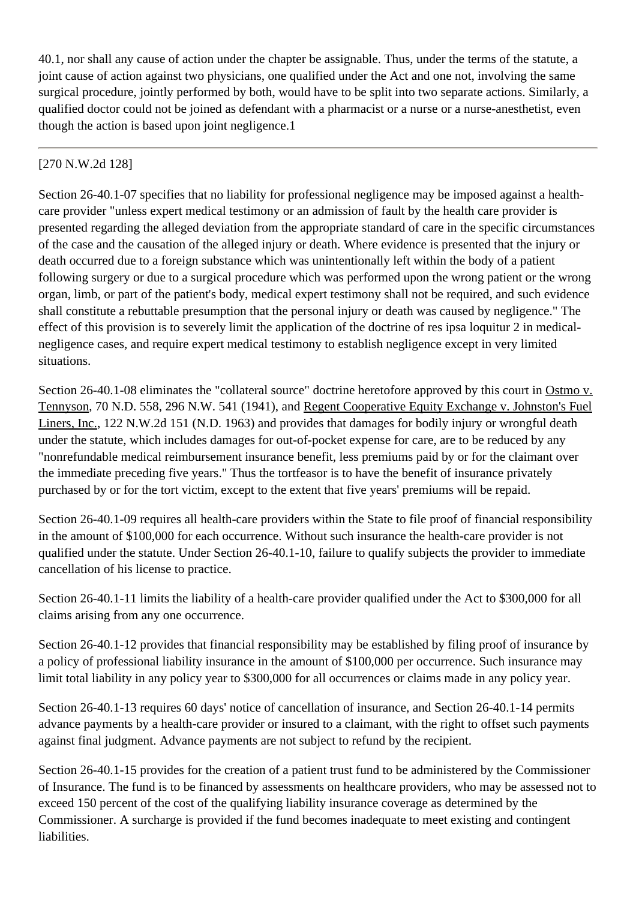40.1, nor shall any cause of action under the chapter be assignable. Thus, under the terms of the statute, a joint cause of action against two physicians, one qualified under the Act and one not, involving the same surgical procedure, jointly performed by both, would have to be split into two separate actions. Similarly, a qualified doctor could not be joined as defendant with a pharmacist or a nurse or a nurse-anesthetist, even though the action is based upon joint negligence.1

## [270 N.W.2d 128]

Section 26-40.1-07 specifies that no liability for professional negligence may be imposed against a healthcare provider "unless expert medical testimony or an admission of fault by the health care provider is presented regarding the alleged deviation from the appropriate standard of care in the specific circumstances of the case and the causation of the alleged injury or death. Where evidence is presented that the injury or death occurred due to a foreign substance which was unintentionally left within the body of a patient following surgery or due to a surgical procedure which was performed upon the wrong patient or the wrong organ, limb, or part of the patient's body, medical expert testimony shall not be required, and such evidence shall constitute a rebuttable presumption that the personal injury or death was caused by negligence." The effect of this provision is to severely limit the application of the doctrine of res ipsa loquitur 2 in medicalnegligence cases, and require expert medical testimony to establish negligence except in very limited situations.

Section 26-40.1-08 eliminates the "collateral source" doctrine heretofore approved by this court in Ostmo v. Tennyson, 70 N.D. 558, 296 N.W. 541 (1941), and Regent Cooperative Equity Exchange v. Johnston's Fuel Liners, Inc., 122 N.W.2d 151 (N.D. 1963) and provides that damages for bodily injury or wrongful death under the statute, which includes damages for out-of-pocket expense for care, are to be reduced by any "nonrefundable medical reimbursement insurance benefit, less premiums paid by or for the claimant over the immediate preceding five years." Thus the tortfeasor is to have the benefit of insurance privately purchased by or for the tort victim, except to the extent that five years' premiums will be repaid.

Section 26-40.1-09 requires all health-care providers within the State to file proof of financial responsibility in the amount of \$100,000 for each occurrence. Without such insurance the health-care provider is not qualified under the statute. Under Section 26-40.1-10, failure to qualify subjects the provider to immediate cancellation of his license to practice.

Section 26-40.1-11 limits the liability of a health-care provider qualified under the Act to \$300,000 for all claims arising from any one occurrence.

Section 26-40.1-12 provides that financial responsibility may be established by filing proof of insurance by a policy of professional liability insurance in the amount of \$100,000 per occurrence. Such insurance may limit total liability in any policy year to \$300,000 for all occurrences or claims made in any policy year.

Section 26-40.1-13 requires 60 days' notice of cancellation of insurance, and Section 26-40.1-14 permits advance payments by a health-care provider or insured to a claimant, with the right to offset such payments against final judgment. Advance payments are not subject to refund by the recipient.

Section 26-40.1-15 provides for the creation of a patient trust fund to be administered by the Commissioner of Insurance. The fund is to be financed by assessments on healthcare providers, who may be assessed not to exceed 150 percent of the cost of the qualifying liability insurance coverage as determined by the Commissioner. A surcharge is provided if the fund becomes inadequate to meet existing and contingent liabilities.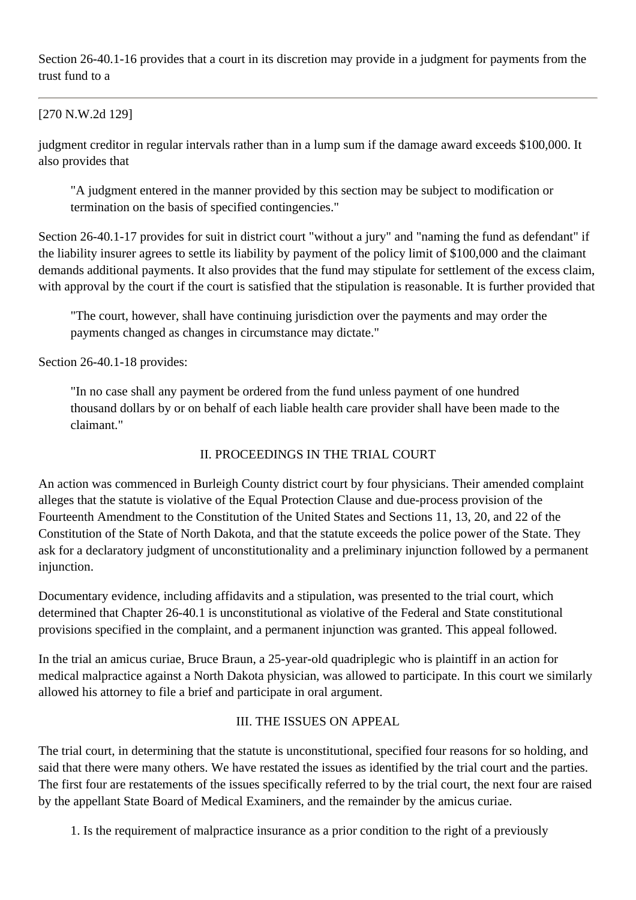Section 26-40.1-16 provides that a court in its discretion may provide in a judgment for payments from the trust fund to a

#### [270 N.W.2d 129]

judgment creditor in regular intervals rather than in a lump sum if the damage award exceeds \$100,000. It also provides that

"A judgment entered in the manner provided by this section may be subject to modification or termination on the basis of specified contingencies."

Section 26-40.1-17 provides for suit in district court "without a jury" and "naming the fund as defendant" if the liability insurer agrees to settle its liability by payment of the policy limit of \$100,000 and the claimant demands additional payments. It also provides that the fund may stipulate for settlement of the excess claim, with approval by the court if the court is satisfied that the stipulation is reasonable. It is further provided that

"The court, however, shall have continuing jurisdiction over the payments and may order the payments changed as changes in circumstance may dictate."

Section 26-40.1-18 provides:

"In no case shall any payment be ordered from the fund unless payment of one hundred thousand dollars by or on behalf of each liable health care provider shall have been made to the claimant."

#### II. PROCEEDINGS IN THE TRIAL COURT

An action was commenced in Burleigh County district court by four physicians. Their amended complaint alleges that the statute is violative of the Equal Protection Clause and due-process provision of the Fourteenth Amendment to the Constitution of the United States and Sections 11, 13, 20, and 22 of the Constitution of the State of North Dakota, and that the statute exceeds the police power of the State. They ask for a declaratory judgment of unconstitutionality and a preliminary injunction followed by a permanent injunction.

Documentary evidence, including affidavits and a stipulation, was presented to the trial court, which determined that Chapter 26-40.1 is unconstitutional as violative of the Federal and State constitutional provisions specified in the complaint, and a permanent injunction was granted. This appeal followed.

In the trial an amicus curiae, Bruce Braun, a 25-year-old quadriplegic who is plaintiff in an action for medical malpractice against a North Dakota physician, was allowed to participate. In this court we similarly allowed his attorney to file a brief and participate in oral argument.

### III. THE ISSUES ON APPEAL

The trial court, in determining that the statute is unconstitutional, specified four reasons for so holding, and said that there were many others. We have restated the issues as identified by the trial court and the parties. The first four are restatements of the issues specifically referred to by the trial court, the next four are raised by the appellant State Board of Medical Examiners, and the remainder by the amicus curiae.

1. Is the requirement of malpractice insurance as a prior condition to the right of a previously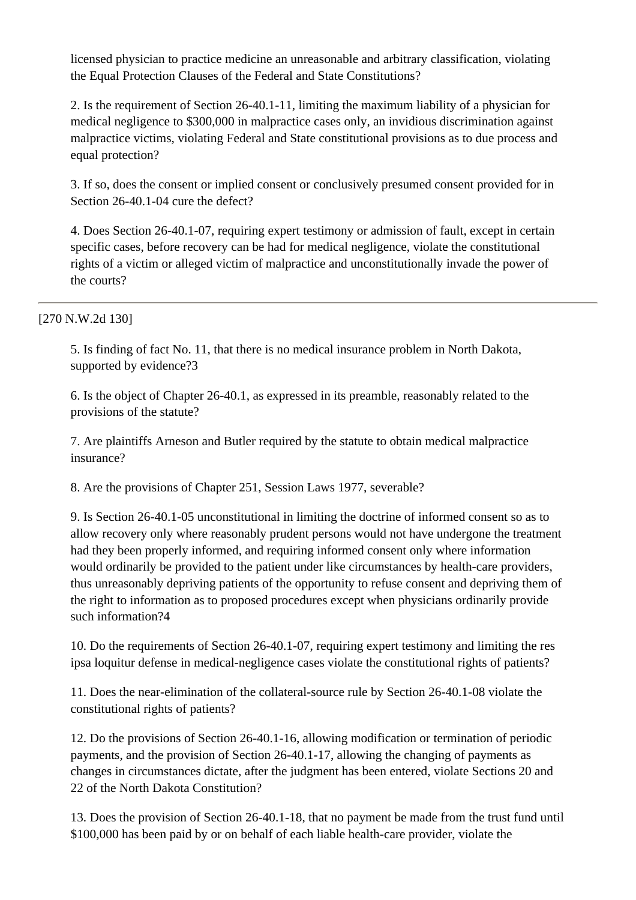licensed physician to practice medicine an unreasonable and arbitrary classification, violating the Equal Protection Clauses of the Federal and State Constitutions?

2. Is the requirement of Section 26-40.1-11, limiting the maximum liability of a physician for medical negligence to \$300,000 in malpractice cases only, an invidious discrimination against malpractice victims, violating Federal and State constitutional provisions as to due process and equal protection?

3. If so, does the consent or implied consent or conclusively presumed consent provided for in Section 26-40.1-04 cure the defect?

4. Does Section 26-40.1-07, requiring expert testimony or admission of fault, except in certain specific cases, before recovery can be had for medical negligence, violate the constitutional rights of a victim or alleged victim of malpractice and unconstitutionally invade the power of the courts?

### [270 N.W.2d 130]

5. Is finding of fact No. 11, that there is no medical insurance problem in North Dakota, supported by evidence?3

6. Is the object of Chapter 26-40.1, as expressed in its preamble, reasonably related to the provisions of the statute?

7. Are plaintiffs Arneson and Butler required by the statute to obtain medical malpractice insurance?

8. Are the provisions of Chapter 251, Session Laws 1977, severable?

9. Is Section 26-40.1-05 unconstitutional in limiting the doctrine of informed consent so as to allow recovery only where reasonably prudent persons would not have undergone the treatment had they been properly informed, and requiring informed consent only where information would ordinarily be provided to the patient under like circumstances by health-care providers, thus unreasonably depriving patients of the opportunity to refuse consent and depriving them of the right to information as to proposed procedures except when physicians ordinarily provide such information?4

10. Do the requirements of Section 26-40.1-07, requiring expert testimony and limiting the res ipsa loquitur defense in medical-negligence cases violate the constitutional rights of patients?

11. Does the near-elimination of the collateral-source rule by Section 26-40.1-08 violate the constitutional rights of patients?

12. Do the provisions of Section 26-40.1-16, allowing modification or termination of periodic payments, and the provision of Section 26-40.1-17, allowing the changing of payments as changes in circumstances dictate, after the judgment has been entered, violate Sections 20 and 22 of the North Dakota Constitution?

13. Does the provision of Section 26-40.1-18, that no payment be made from the trust fund until \$100,000 has been paid by or on behalf of each liable health-care provider, violate the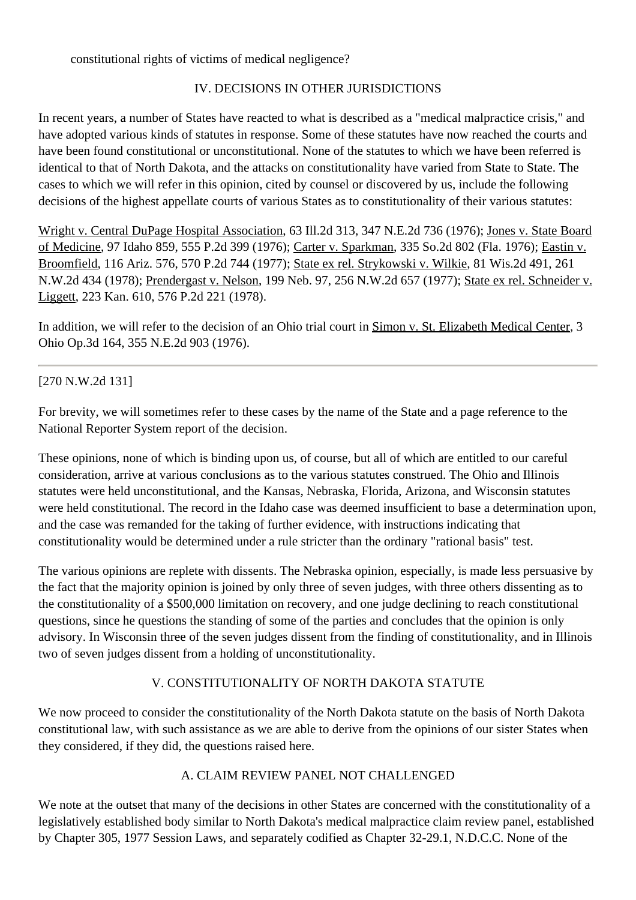constitutional rights of victims of medical negligence?

## IV. DECISIONS IN OTHER JURISDICTIONS

In recent years, a number of States have reacted to what is described as a "medical malpractice crisis," and have adopted various kinds of statutes in response. Some of these statutes have now reached the courts and have been found constitutional or unconstitutional. None of the statutes to which we have been referred is identical to that of North Dakota, and the attacks on constitutionality have varied from State to State. The cases to which we will refer in this opinion, cited by counsel or discovered by us, include the following decisions of the highest appellate courts of various States as to constitutionality of their various statutes:

Wright v. Central DuPage Hospital Association, 63 Ill.2d 313, 347 N.E.2d 736 (1976); Jones v. State Board of Medicine, 97 Idaho 859, 555 P.2d 399 (1976); Carter v. Sparkman, 335 So.2d 802 (Fla. 1976); Eastin v. Broomfield, 116 Ariz. 576, 570 P.2d 744 (1977); State ex rel. Strykowski v. Wilkie, 81 Wis.2d 491, 261 N.W.2d 434 (1978); Prendergast v. Nelson, 199 Neb. 97, 256 N.W.2d 657 (1977); State ex rel. Schneider v. Liggett, 223 Kan. 610, 576 P.2d 221 (1978).

In addition, we will refer to the decision of an Ohio trial court in Simon v. St. Elizabeth Medical Center, 3 Ohio Op.3d 164, 355 N.E.2d 903 (1976).

## [270 N.W.2d 131]

For brevity, we will sometimes refer to these cases by the name of the State and a page reference to the National Reporter System report of the decision.

These opinions, none of which is binding upon us, of course, but all of which are entitled to our careful consideration, arrive at various conclusions as to the various statutes construed. The Ohio and Illinois statutes were held unconstitutional, and the Kansas, Nebraska, Florida, Arizona, and Wisconsin statutes were held constitutional. The record in the Idaho case was deemed insufficient to base a determination upon, and the case was remanded for the taking of further evidence, with instructions indicating that constitutionality would be determined under a rule stricter than the ordinary "rational basis" test.

The various opinions are replete with dissents. The Nebraska opinion, especially, is made less persuasive by the fact that the majority opinion is joined by only three of seven judges, with three others dissenting as to the constitutionality of a \$500,000 limitation on recovery, and one judge declining to reach constitutional questions, since he questions the standing of some of the parties and concludes that the opinion is only advisory. In Wisconsin three of the seven judges dissent from the finding of constitutionality, and in Illinois two of seven judges dissent from a holding of unconstitutionality.

# V. CONSTITUTIONALITY OF NORTH DAKOTA STATUTE

We now proceed to consider the constitutionality of the North Dakota statute on the basis of North Dakota constitutional law, with such assistance as we are able to derive from the opinions of our sister States when they considered, if they did, the questions raised here.

### A. CLAIM REVIEW PANEL NOT CHALLENGED

We note at the outset that many of the decisions in other States are concerned with the constitutionality of a legislatively established body similar to North Dakota's medical malpractice claim review panel, established by Chapter 305, 1977 Session Laws, and separately codified as Chapter 32-29.1, N.D.C.C. None of the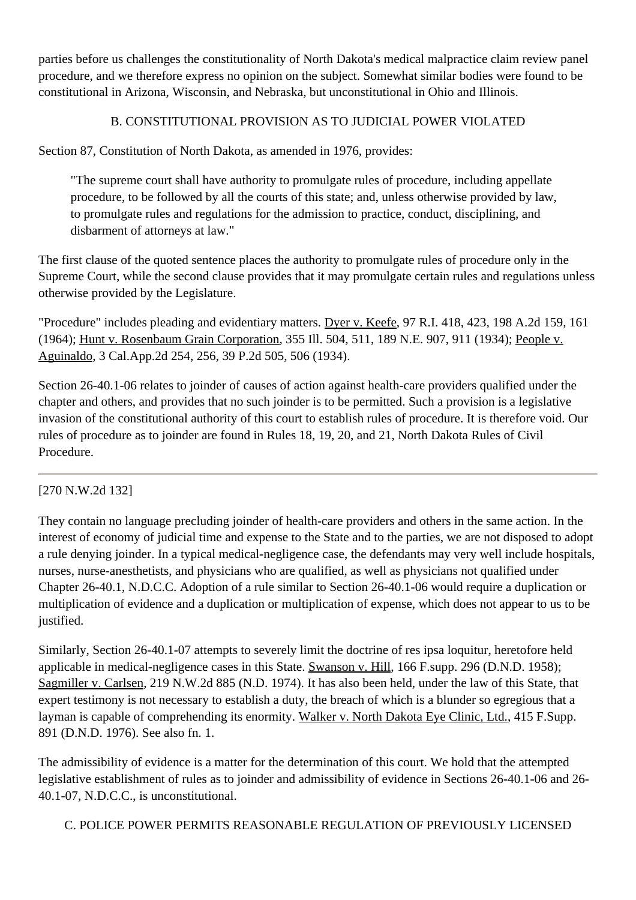parties before us challenges the constitutionality of North Dakota's medical malpractice claim review panel procedure, and we therefore express no opinion on the subject. Somewhat similar bodies were found to be constitutional in Arizona, Wisconsin, and Nebraska, but unconstitutional in Ohio and Illinois.

## B. CONSTITUTIONAL PROVISION AS TO JUDICIAL POWER VIOLATED

Section 87, Constitution of North Dakota, as amended in 1976, provides:

"The supreme court shall have authority to promulgate rules of procedure, including appellate procedure, to be followed by all the courts of this state; and, unless otherwise provided by law, to promulgate rules and regulations for the admission to practice, conduct, disciplining, and disbarment of attorneys at law."

The first clause of the quoted sentence places the authority to promulgate rules of procedure only in the Supreme Court, while the second clause provides that it may promulgate certain rules and regulations unless otherwise provided by the Legislature.

"Procedure" includes pleading and evidentiary matters. Dyer v. Keefe, 97 R.I. 418, 423, 198 A.2d 159, 161 (1964); Hunt v. Rosenbaum Grain Corporation, 355 Ill. 504, 511, 189 N.E. 907, 911 (1934); People v. Aguinaldo, 3 Cal.App.2d 254, 256, 39 P.2d 505, 506 (1934).

Section 26-40.1-06 relates to joinder of causes of action against health-care providers qualified under the chapter and others, and provides that no such joinder is to be permitted. Such a provision is a legislative invasion of the constitutional authority of this court to establish rules of procedure. It is therefore void. Our rules of procedure as to joinder are found in Rules 18, 19, 20, and 21, North Dakota Rules of Civil Procedure.

### [270 N.W.2d 132]

They contain no language precluding joinder of health-care providers and others in the same action. In the interest of economy of judicial time and expense to the State and to the parties, we are not disposed to adopt a rule denying joinder. In a typical medical-negligence case, the defendants may very well include hospitals, nurses, nurse-anesthetists, and physicians who are qualified, as well as physicians not qualified under Chapter 26-40.1, N.D.C.C. Adoption of a rule similar to Section 26-40.1-06 would require a duplication or multiplication of evidence and a duplication or multiplication of expense, which does not appear to us to be justified.

Similarly, Section 26-40.1-07 attempts to severely limit the doctrine of res ipsa loquitur, heretofore held applicable in medical-negligence cases in this State. Swanson v. Hill, 166 F.supp. 296 (D.N.D. 1958); Sagmiller v. Carlsen, [219 N.W.2d 885](http://www.ndcourts.gov/supreme-court/opinion/219NW2d885) (N.D. 1974). It has also been held, under the law of this State, that expert testimony is not necessary to establish a duty, the breach of which is a blunder so egregious that a layman is capable of comprehending its enormity. Walker v. North Dakota Eye Clinic, Ltd., 415 F.Supp. 891 (D.N.D. 1976). See also fn. 1.

The admissibility of evidence is a matter for the determination of this court. We hold that the attempted legislative establishment of rules as to joinder and admissibility of evidence in Sections 26-40.1-06 and 26- 40.1-07, N.D.C.C., is unconstitutional.

C. POLICE POWER PERMITS REASONABLE REGULATION OF PREVIOUSLY LICENSED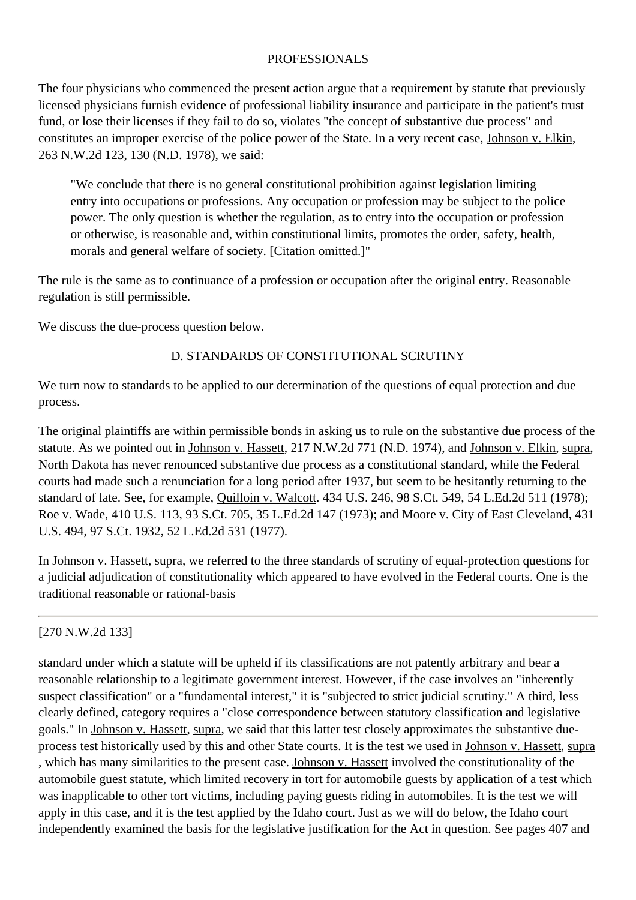#### PROFESSIONALS

The four physicians who commenced the present action argue that a requirement by statute that previously licensed physicians furnish evidence of professional liability insurance and participate in the patient's trust fund, or lose their licenses if they fail to do so, violates "the concept of substantive due process" and constitutes an improper exercise of the police power of the State. In a very recent case, Johnson v. Elkin, [263 N.W.2d 123,](http://www.ndcourts.gov/supreme-court/opinion/263NW2d123) 130 (N.D. 1978), we said:

"We conclude that there is no general constitutional prohibition against legislation limiting entry into occupations or professions. Any occupation or profession may be subject to the police power. The only question is whether the regulation, as to entry into the occupation or profession or otherwise, is reasonable and, within constitutional limits, promotes the order, safety, health, morals and general welfare of society. [Citation omitted.]"

The rule is the same as to continuance of a profession or occupation after the original entry. Reasonable regulation is still permissible.

We discuss the due-process question below.

### D. STANDARDS OF CONSTITUTIONAL SCRUTINY

We turn now to standards to be applied to our determination of the questions of equal protection and due process.

The original plaintiffs are within permissible bonds in asking us to rule on the substantive due process of the statute. As we pointed out in Johnson v. Hassett, [217 N.W.2d 771](http://www.ndcourts.gov/supreme-court/opinion/217NW2d771) (N.D. 1974), and Johnson v. Elkin, supra, North Dakota has never renounced substantive due process as a constitutional standard, while the Federal courts had made such a renunciation for a long period after 1937, but seem to be hesitantly returning to the standard of late. See, for example, Quilloin v. Walcott. 434 U.S. 246, 98 S.Ct. 549, 54 L.Ed.2d 511 (1978); Roe v. Wade, 410 U.S. 113, 93 S.Ct. 705, 35 L.Ed.2d 147 (1973); and Moore v. City of East Cleveland, 431 U.S. 494, 97 S.Ct. 1932, 52 L.Ed.2d 531 (1977).

In Johnson v. Hassett, supra, we referred to the three standards of scrutiny of equal-protection questions for a judicial adjudication of constitutionality which appeared to have evolved in the Federal courts. One is the traditional reasonable or rational-basis

[270 N.W.2d 133]

standard under which a statute will be upheld if its classifications are not patently arbitrary and bear a reasonable relationship to a legitimate government interest. However, if the case involves an "inherently suspect classification" or a "fundamental interest," it is "subjected to strict judicial scrutiny." A third, less clearly defined, category requires a "close correspondence between statutory classification and legislative goals." In Johnson v. Hassett, supra, we said that this latter test closely approximates the substantive dueprocess test historically used by this and other State courts. It is the test we used in Johnson v. Hassett, supra , which has many similarities to the present case. Johnson v. Hassett involved the constitutionality of the automobile guest statute, which limited recovery in tort for automobile guests by application of a test which was inapplicable to other tort victims, including paying guests riding in automobiles. It is the test we will apply in this case, and it is the test applied by the Idaho court. Just as we will do below, the Idaho court independently examined the basis for the legislative justification for the Act in question. See pages 407 and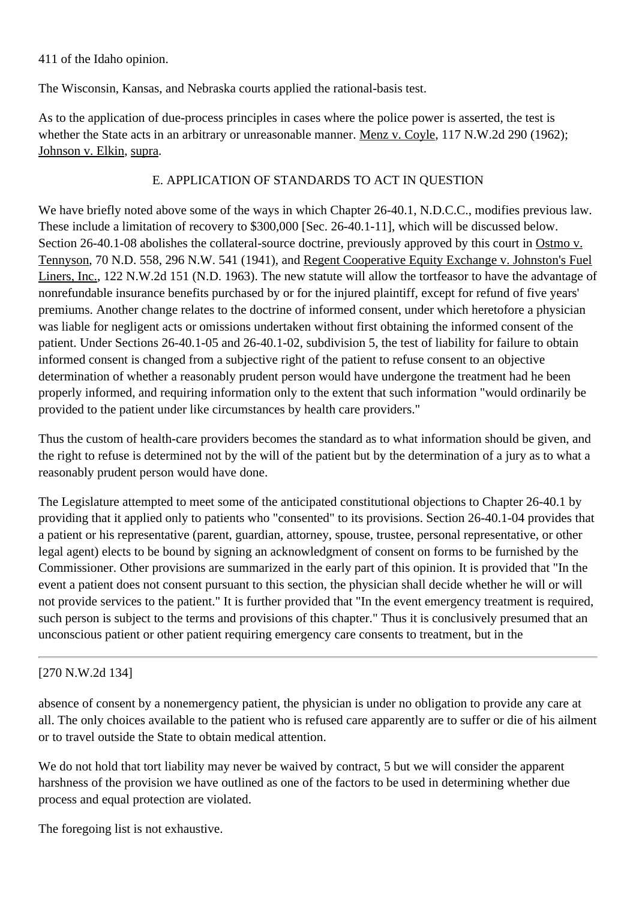411 of the Idaho opinion.

The Wisconsin, Kansas, and Nebraska courts applied the rational-basis test.

As to the application of due-process principles in cases where the police power is asserted, the test is whether the State acts in an arbitrary or unreasonable manner. Menz v. Coyle, 117 N.W.2d 290 (1962); Johnson v. Elkin, supra.

### E. APPLICATION OF STANDARDS TO ACT IN QUESTION

We have briefly noted above some of the ways in which Chapter 26-40.1, N.D.C.C., modifies previous law. These include a limitation of recovery to \$300,000 [Sec. 26-40.1-11], which will be discussed below. Section 26-40.1-08 abolishes the collateral-source doctrine, previously approved by this court in Ostmo v. Tennyson, 70 N.D. 558, 296 N.W. 541 (1941), and Regent Cooperative Equity Exchange v. Johnston's Fuel Liners, Inc., 122 N.W.2d 151 (N.D. 1963). The new statute will allow the tortfeasor to have the advantage of nonrefundable insurance benefits purchased by or for the injured plaintiff, except for refund of five years' premiums. Another change relates to the doctrine of informed consent, under which heretofore a physician was liable for negligent acts or omissions undertaken without first obtaining the informed consent of the patient. Under Sections 26-40.1-05 and 26-40.1-02, subdivision 5, the test of liability for failure to obtain informed consent is changed from a subjective right of the patient to refuse consent to an objective determination of whether a reasonably prudent person would have undergone the treatment had he been properly informed, and requiring information only to the extent that such information "would ordinarily be provided to the patient under like circumstances by health care providers."

Thus the custom of health-care providers becomes the standard as to what information should be given, and the right to refuse is determined not by the will of the patient but by the determination of a jury as to what a reasonably prudent person would have done.

The Legislature attempted to meet some of the anticipated constitutional objections to Chapter 26-40.1 by providing that it applied only to patients who "consented" to its provisions. Section 26-40.1-04 provides that a patient or his representative (parent, guardian, attorney, spouse, trustee, personal representative, or other legal agent) elects to be bound by signing an acknowledgment of consent on forms to be furnished by the Commissioner. Other provisions are summarized in the early part of this opinion. It is provided that "In the event a patient does not consent pursuant to this section, the physician shall decide whether he will or will not provide services to the patient." It is further provided that "In the event emergency treatment is required, such person is subject to the terms and provisions of this chapter." Thus it is conclusively presumed that an unconscious patient or other patient requiring emergency care consents to treatment, but in the

### [270 N.W.2d 134]

absence of consent by a nonemergency patient, the physician is under no obligation to provide any care at all. The only choices available to the patient who is refused care apparently are to suffer or die of his ailment or to travel outside the State to obtain medical attention.

We do not hold that tort liability may never be waived by contract, 5 but we will consider the apparent harshness of the provision we have outlined as one of the factors to be used in determining whether due process and equal protection are violated.

The foregoing list is not exhaustive.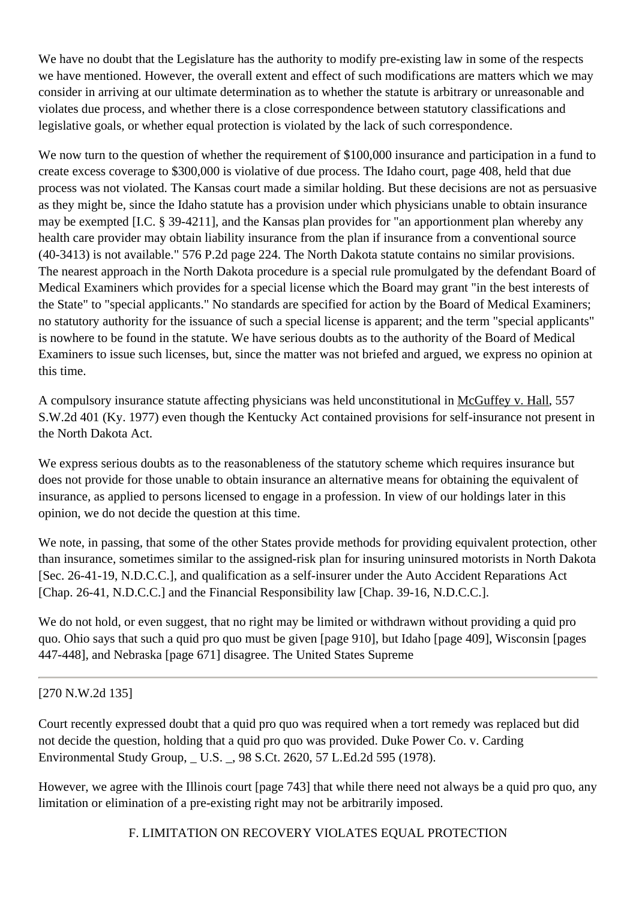We have no doubt that the Legislature has the authority to modify pre-existing law in some of the respects we have mentioned. However, the overall extent and effect of such modifications are matters which we may consider in arriving at our ultimate determination as to whether the statute is arbitrary or unreasonable and violates due process, and whether there is a close correspondence between statutory classifications and legislative goals, or whether equal protection is violated by the lack of such correspondence.

We now turn to the question of whether the requirement of \$100,000 insurance and participation in a fund to create excess coverage to \$300,000 is violative of due process. The Idaho court, page 408, held that due process was not violated. The Kansas court made a similar holding. But these decisions are not as persuasive as they might be, since the Idaho statute has a provision under which physicians unable to obtain insurance may be exempted [I.C. § 39-4211], and the Kansas plan provides for "an apportionment plan whereby any health care provider may obtain liability insurance from the plan if insurance from a conventional source (40-3413) is not available." 576 P.2d page 224. The North Dakota statute contains no similar provisions. The nearest approach in the North Dakota procedure is a special rule promulgated by the defendant Board of Medical Examiners which provides for a special license which the Board may grant "in the best interests of the State" to "special applicants." No standards are specified for action by the Board of Medical Examiners; no statutory authority for the issuance of such a special license is apparent; and the term "special applicants" is nowhere to be found in the statute. We have serious doubts as to the authority of the Board of Medical Examiners to issue such licenses, but, since the matter was not briefed and argued, we express no opinion at this time.

A compulsory insurance statute affecting physicians was held unconstitutional in McGuffey v. Hall, 557 S.W.2d 401 (Ky. 1977) even though the Kentucky Act contained provisions for self-insurance not present in the North Dakota Act.

We express serious doubts as to the reasonableness of the statutory scheme which requires insurance but does not provide for those unable to obtain insurance an alternative means for obtaining the equivalent of insurance, as applied to persons licensed to engage in a profession. In view of our holdings later in this opinion, we do not decide the question at this time.

We note, in passing, that some of the other States provide methods for providing equivalent protection, other than insurance, sometimes similar to the assigned-risk plan for insuring uninsured motorists in North Dakota [Sec. 26-41-19, N.D.C.C.], and qualification as a self-insurer under the Auto Accident Reparations Act [Chap. 26-41, N.D.C.C.] and the Financial Responsibility law [Chap. 39-16, N.D.C.C.].

We do not hold, or even suggest, that no right may be limited or withdrawn without providing a quid pro quo. Ohio says that such a quid pro quo must be given [page 910], but Idaho [page 409], Wisconsin [pages 447-448], and Nebraska [page 671] disagree. The United States Supreme

### [270 N.W.2d 135]

Court recently expressed doubt that a quid pro quo was required when a tort remedy was replaced but did not decide the question, holding that a quid pro quo was provided. Duke Power Co. v. Carding Environmental Study Group, \_ U.S. \_, 98 S.Ct. 2620, 57 L.Ed.2d 595 (1978).

However, we agree with the Illinois court [page 743] that while there need not always be a quid pro quo, any limitation or elimination of a pre-existing right may not be arbitrarily imposed.

F. LIMITATION ON RECOVERY VIOLATES EQUAL PROTECTION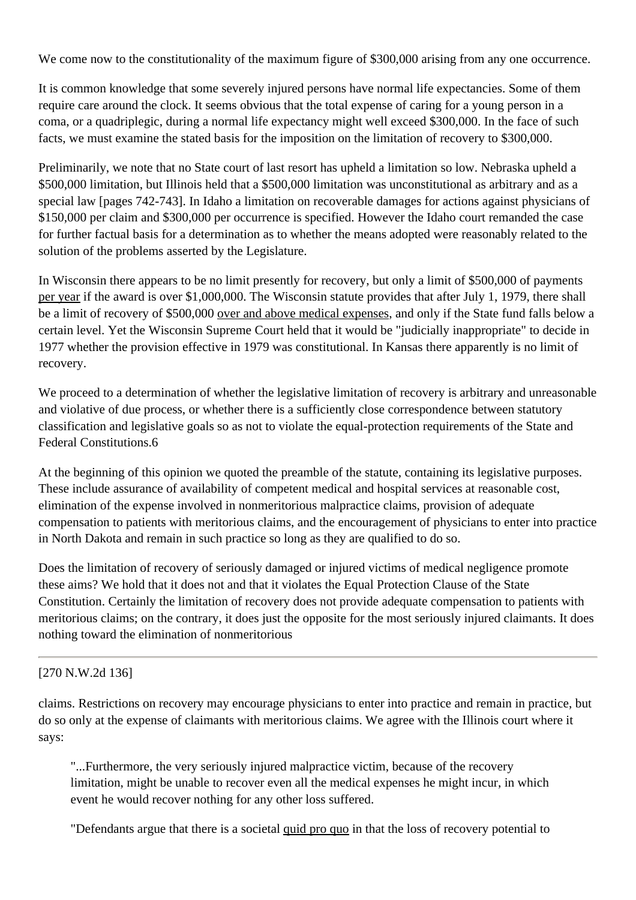We come now to the constitutionality of the maximum figure of \$300,000 arising from any one occurrence.

It is common knowledge that some severely injured persons have normal life expectancies. Some of them require care around the clock. It seems obvious that the total expense of caring for a young person in a coma, or a quadriplegic, during a normal life expectancy might well exceed \$300,000. In the face of such facts, we must examine the stated basis for the imposition on the limitation of recovery to \$300,000.

Preliminarily, we note that no State court of last resort has upheld a limitation so low. Nebraska upheld a \$500,000 limitation, but Illinois held that a \$500,000 limitation was unconstitutional as arbitrary and as a special law [pages 742-743]. In Idaho a limitation on recoverable damages for actions against physicians of \$150,000 per claim and \$300,000 per occurrence is specified. However the Idaho court remanded the case for further factual basis for a determination as to whether the means adopted were reasonably related to the solution of the problems asserted by the Legislature.

In Wisconsin there appears to be no limit presently for recovery, but only a limit of \$500,000 of payments per year if the award is over \$1,000,000. The Wisconsin statute provides that after July 1, 1979, there shall be a limit of recovery of \$500,000 over and above medical expenses, and only if the State fund falls below a certain level. Yet the Wisconsin Supreme Court held that it would be "judicially inappropriate" to decide in 1977 whether the provision effective in 1979 was constitutional. In Kansas there apparently is no limit of recovery.

We proceed to a determination of whether the legislative limitation of recovery is arbitrary and unreasonable and violative of due process, or whether there is a sufficiently close correspondence between statutory classification and legislative goals so as not to violate the equal-protection requirements of the State and Federal Constitutions.6

At the beginning of this opinion we quoted the preamble of the statute, containing its legislative purposes. These include assurance of availability of competent medical and hospital services at reasonable cost, elimination of the expense involved in nonmeritorious malpractice claims, provision of adequate compensation to patients with meritorious claims, and the encouragement of physicians to enter into practice in North Dakota and remain in such practice so long as they are qualified to do so.

Does the limitation of recovery of seriously damaged or injured victims of medical negligence promote these aims? We hold that it does not and that it violates the Equal Protection Clause of the State Constitution. Certainly the limitation of recovery does not provide adequate compensation to patients with meritorious claims; on the contrary, it does just the opposite for the most seriously injured claimants. It does nothing toward the elimination of nonmeritorious

### [270 N.W.2d 136]

claims. Restrictions on recovery may encourage physicians to enter into practice and remain in practice, but do so only at the expense of claimants with meritorious claims. We agree with the Illinois court where it says:

"...Furthermore, the very seriously injured malpractice victim, because of the recovery limitation, might be unable to recover even all the medical expenses he might incur, in which event he would recover nothing for any other loss suffered.

"Defendants argue that there is a societal quid pro quo in that the loss of recovery potential to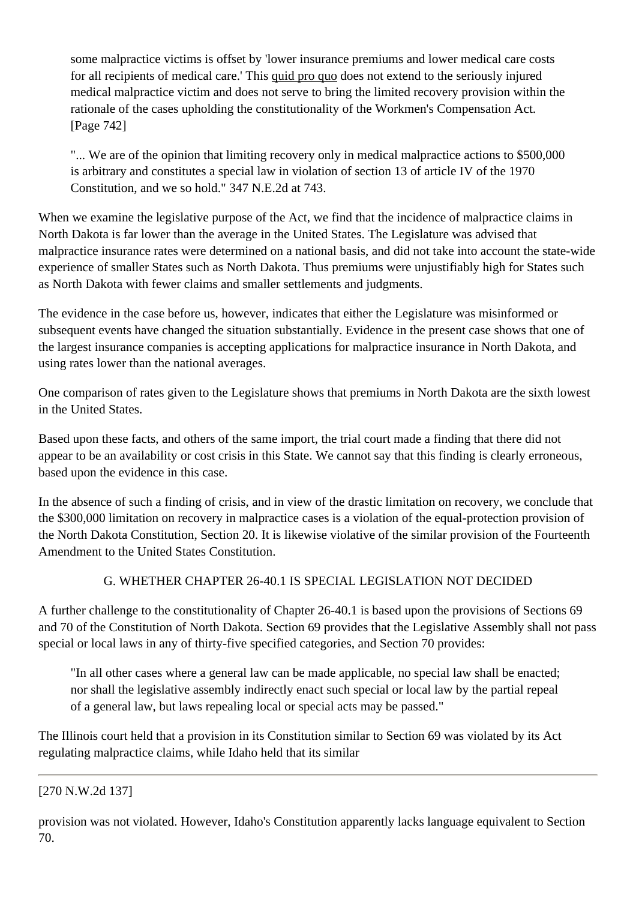some malpractice victims is offset by 'lower insurance premiums and lower medical care costs for all recipients of medical care.' This quid pro quo does not extend to the seriously injured medical malpractice victim and does not serve to bring the limited recovery provision within the rationale of the cases upholding the constitutionality of the Workmen's Compensation Act. [Page 742]

"... We are of the opinion that limiting recovery only in medical malpractice actions to \$500,000 is arbitrary and constitutes a special law in violation of section 13 of article IV of the 1970 Constitution, and we so hold." 347 N.E.2d at 743.

When we examine the legislative purpose of the Act, we find that the incidence of malpractice claims in North Dakota is far lower than the average in the United States. The Legislature was advised that malpractice insurance rates were determined on a national basis, and did not take into account the state-wide experience of smaller States such as North Dakota. Thus premiums were unjustifiably high for States such as North Dakota with fewer claims and smaller settlements and judgments.

The evidence in the case before us, however, indicates that either the Legislature was misinformed or subsequent events have changed the situation substantially. Evidence in the present case shows that one of the largest insurance companies is accepting applications for malpractice insurance in North Dakota, and using rates lower than the national averages.

One comparison of rates given to the Legislature shows that premiums in North Dakota are the sixth lowest in the United States.

Based upon these facts, and others of the same import, the trial court made a finding that there did not appear to be an availability or cost crisis in this State. We cannot say that this finding is clearly erroneous, based upon the evidence in this case.

In the absence of such a finding of crisis, and in view of the drastic limitation on recovery, we conclude that the \$300,000 limitation on recovery in malpractice cases is a violation of the equal-protection provision of the North Dakota Constitution, Section 20. It is likewise violative of the similar provision of the Fourteenth Amendment to the United States Constitution.

# G. WHETHER CHAPTER 26-40.1 IS SPECIAL LEGISLATION NOT DECIDED

A further challenge to the constitutionality of Chapter 26-40.1 is based upon the provisions of Sections 69 and 70 of the Constitution of North Dakota. Section 69 provides that the Legislative Assembly shall not pass special or local laws in any of thirty-five specified categories, and Section 70 provides:

"In all other cases where a general law can be made applicable, no special law shall be enacted; nor shall the legislative assembly indirectly enact such special or local law by the partial repeal of a general law, but laws repealing local or special acts may be passed."

The Illinois court held that a provision in its Constitution similar to Section 69 was violated by its Act regulating malpractice claims, while Idaho held that its similar

### [270 N.W.2d 137]

provision was not violated. However, Idaho's Constitution apparently lacks language equivalent to Section 70.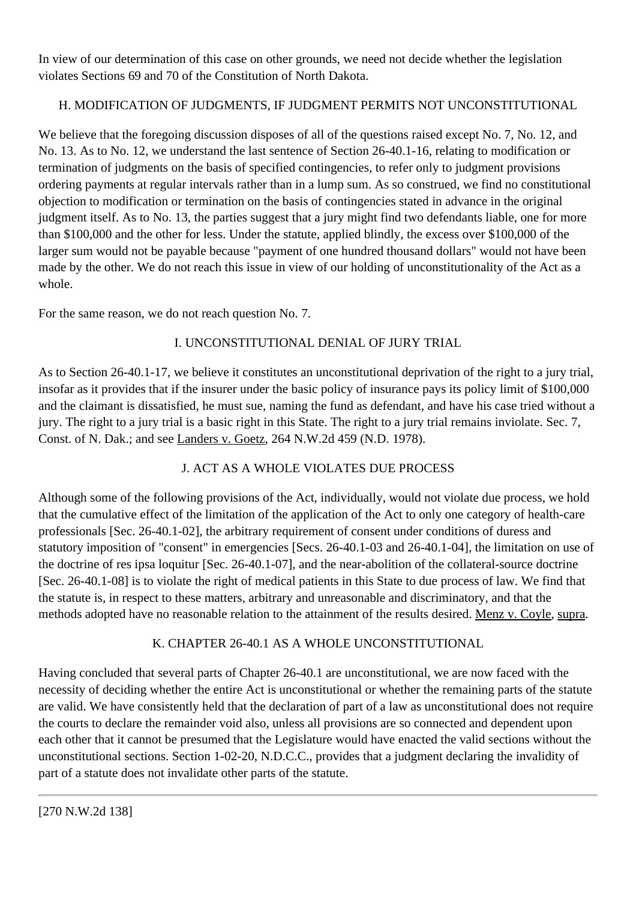In view of our determination of this case on other grounds, we need not decide whether the legislation violates Sections 69 and 70 of the Constitution of North Dakota.

# H. MODIFICATION OF JUDGMENTS, IF JUDGMENT PERMITS NOT UNCONSTITUTIONAL

We believe that the foregoing discussion disposes of all of the questions raised except No. 7, No. 12, and No. 13. As to No. 12, we understand the last sentence of Section 26-40.1-16, relating to modification or termination of judgments on the basis of specified contingencies, to refer only to judgment provisions ordering payments at regular intervals rather than in a lump sum. As so construed, we find no constitutional objection to modification or termination on the basis of contingencies stated in advance in the original judgment itself. As to No. 13, the parties suggest that a jury might find two defendants liable, one for more than \$100,000 and the other for less. Under the statute, applied blindly, the excess over \$100,000 of the larger sum would not be payable because "payment of one hundred thousand dollars" would not have been made by the other. We do not reach this issue in view of our holding of unconstitutionality of the Act as a whole.

For the same reason, we do not reach question No. 7.

## I. UNCONSTITUTIONAL DENIAL OF JURY TRIAL

As to Section 26-40.1-17, we believe it constitutes an unconstitutional deprivation of the right to a jury trial, insofar as it provides that if the insurer under the basic policy of insurance pays its policy limit of \$100,000 and the claimant is dissatisfied, he must sue, naming the fund as defendant, and have his case tried without a jury. The right to a jury trial is a basic right in this State. The right to a jury trial remains inviolate. Sec. 7, Const. of N. Dak.; and see Landers v. Goetz, [264 N.W.2d 459](http://www.ndcourts.gov/supreme-court/opinion/264NW2d459) (N.D. 1978).

# J. ACT AS A WHOLE VIOLATES DUE PROCESS

Although some of the following provisions of the Act, individually, would not violate due process, we hold that the cumulative effect of the limitation of the application of the Act to only one category of health-care professionals [Sec. 26-40.1-02], the arbitrary requirement of consent under conditions of duress and statutory imposition of "consent" in emergencies [Secs. 26-40.1-03 and 26-40.1-04], the limitation on use of the doctrine of res ipsa loquitur [Sec. 26-40.1-07], and the near-abolition of the collateral-source doctrine [Sec. 26-40.1-08] is to violate the right of medical patients in this State to due process of law. We find that the statute is, in respect to these matters, arbitrary and unreasonable and discriminatory, and that the methods adopted have no reasonable relation to the attainment of the results desired. Menz v. Coyle, supra.

# K. CHAPTER 26-40.1 AS A WHOLE UNCONSTITUTIONAL

Having concluded that several parts of Chapter 26-40.1 are unconstitutional, we are now faced with the necessity of deciding whether the entire Act is unconstitutional or whether the remaining parts of the statute are valid. We have consistently held that the declaration of part of a law as unconstitutional does not require the courts to declare the remainder void also, unless all provisions are so connected and dependent upon each other that it cannot be presumed that the Legislature would have enacted the valid sections without the unconstitutional sections. Section 1-02-20, N.D.C.C., provides that a judgment declaring the invalidity of part of a statute does not invalidate other parts of the statute.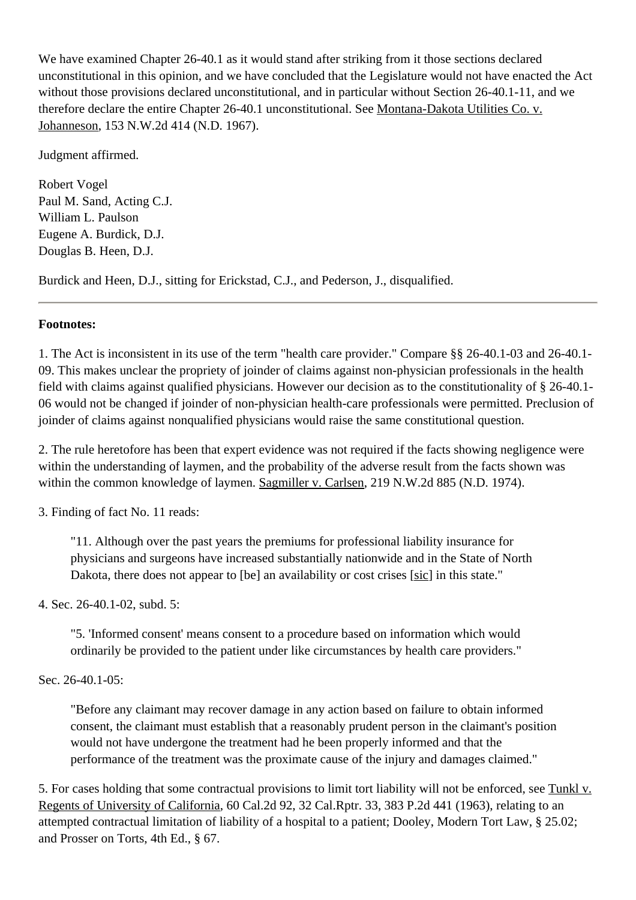We have examined Chapter 26-40.1 as it would stand after striking from it those sections declared unconstitutional in this opinion, and we have concluded that the Legislature would not have enacted the Act without those provisions declared unconstitutional, and in particular without Section 26-40.1-11, and we therefore declare the entire Chapter 26-40.1 unconstitutional. See Montana-Dakota Utilities Co. v. Johanneson, [153 N.W.2d 414](http://www.ndcourts.gov/supreme-court/opinion/153NW2d414) (N.D. 1967).

Judgment affirmed.

Robert Vogel Paul M. Sand, Acting C.J. William L. Paulson Eugene A. Burdick, D.J. Douglas B. Heen, D.J.

Burdick and Heen, D.J., sitting for Erickstad, C.J., and Pederson, J., disqualified.

#### **Footnotes:**

1. The Act is inconsistent in its use of the term "health care provider." Compare §§ 26-40.1-03 and 26-40.1- 09. This makes unclear the propriety of joinder of claims against non-physician professionals in the health field with claims against qualified physicians. However our decision as to the constitutionality of § 26-40.1- 06 would not be changed if joinder of non-physician health-care professionals were permitted. Preclusion of joinder of claims against nonqualified physicians would raise the same constitutional question.

2. The rule heretofore has been that expert evidence was not required if the facts showing negligence were within the understanding of laymen, and the probability of the adverse result from the facts shown was within the common knowledge of laymen. Sagmiller v. Carlsen, [219 N.W.2d 885](http://www.ndcourts.gov/supreme-court/opinion/219NW2d885) (N.D. 1974).

3. Finding of fact No. 11 reads:

"11. Although over the past years the premiums for professional liability insurance for physicians and surgeons have increased substantially nationwide and in the State of North Dakota, there does not appear to [be] an availability or cost crises [sic] in this state."

4. Sec. 26-40.1-02, subd. 5:

"5. 'Informed consent' means consent to a procedure based on information which would ordinarily be provided to the patient under like circumstances by health care providers."

Sec. 26-40.1-05:

"Before any claimant may recover damage in any action based on failure to obtain informed consent, the claimant must establish that a reasonably prudent person in the claimant's position would not have undergone the treatment had he been properly informed and that the performance of the treatment was the proximate cause of the injury and damages claimed."

5. For cases holding that some contractual provisions to limit tort liability will not be enforced, see Tunkl v. Regents of University of California, 60 Cal.2d 92, 32 Cal.Rptr. 33, 383 P.2d 441 (1963), relating to an attempted contractual limitation of liability of a hospital to a patient; Dooley, Modern Tort Law, § 25.02; and Prosser on Torts, 4th Ed., § 67.